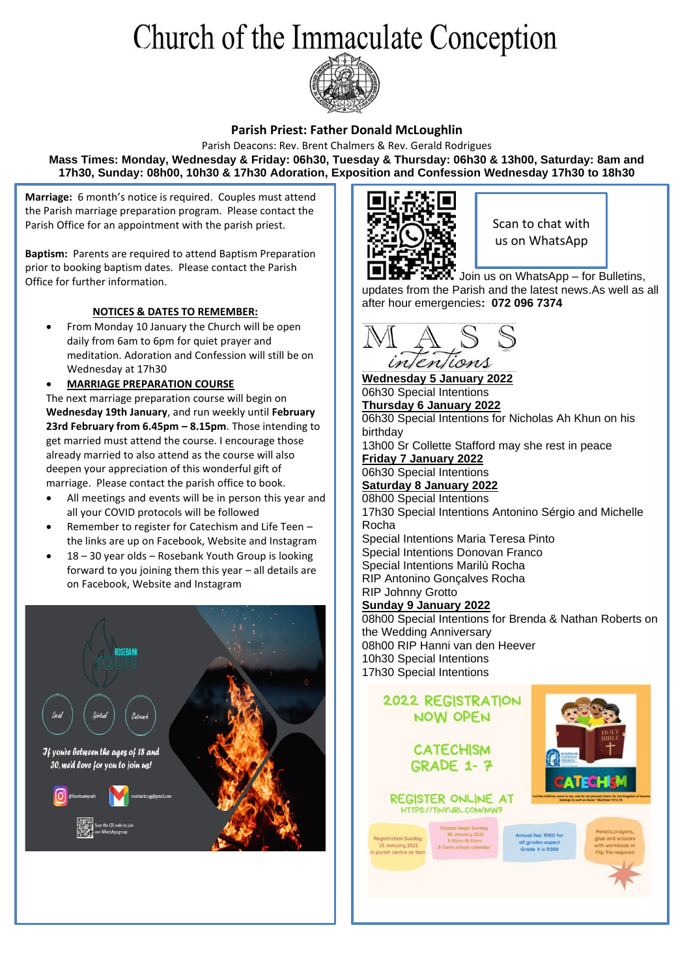# Church of the Immaculate Conception



#### **Parish Priest: Father Donald McLoughlin**

Parish Deacons: Rev. Brent Chalmers & Rev. Gerald Rodrigues **Mass Times: Monday, Wednesday & Friday: 06h30, Tuesday & Thursday: 06h30 & 13h00, Saturday: 8am and 17h30, Sunday: 08h00, 10h30 & 17h30 Adoration, Exposition and Confession Wednesday 17h30 to 18h30**

**Marriage:** 6 month's notice is required. Couples must attend the Parish marriage preparation program. Please contact the Parish Office for an appointment with the parish priest.

**Baptism:** Parents are required to attend Baptism Preparation prior to booking baptism dates. Please contact the Parish Office for further information.

#### **NOTICES & DATES TO REMEMBER:**

• From Monday 10 January the Church will be open daily from 6am to 6pm for quiet prayer and meditation. Adoration and Confession will still be on Wednesday at 17h30

• **MARRIAGE PREPARATION COURSE**

The next marriage preparation course will begin on **Wednesday 19th January**, and run weekly until **February 23rd February from 6.45pm – 8.15pm**. Those intending to get married must attend the course. I encourage those already married to also attend as the course will also deepen your appreciation of this wonderful gift of marriage. Please contact the parish office to book.

- All meetings and events will be in person this year and all your COVID protocols will be followed
- Remember to register for Catechism and Life Teen the links are up on Facebook, Website and Instagram
- 18 30 year olds Rosebank Youth Group is looking forward to you joining them this year – all details are on Facebook, Website and Instagram





Scan to chat with us on WhatsApp

Join us on WhatsApp – for Bulletins, updates from the Parish and the latest news.As well as all after hour emergencies**: 072 096 7374**



**Wednesday 5 January 2022** 06h30 Special Intentions **Thursday 6 January 2022** 06h30 Special Intentions for Nicholas Ah Khun on his birthday 13h00 Sr Collette Stafford may she rest in peace **Friday 7 January 2022** 06h30 Special Intentions **Saturday 8 January 2022** 08h00 Special Intentions 17h30 Special Intentions Antonino Sérgio and Michelle Rocha Special Intentions Maria Teresa Pinto Special Intentions Donovan Franco Special Intentions Marilù Rocha RIP Antonino Gonçalves Rocha RIP Johnny Grotto

#### **Sunday 9 January 2022**

08h00 Special Intentions for Brenda & Nathan Roberts on the Wedding Anniversary 08h00 RIP Hanni van den Heever 10h30 Special Intentions 17h30 Special Intentions